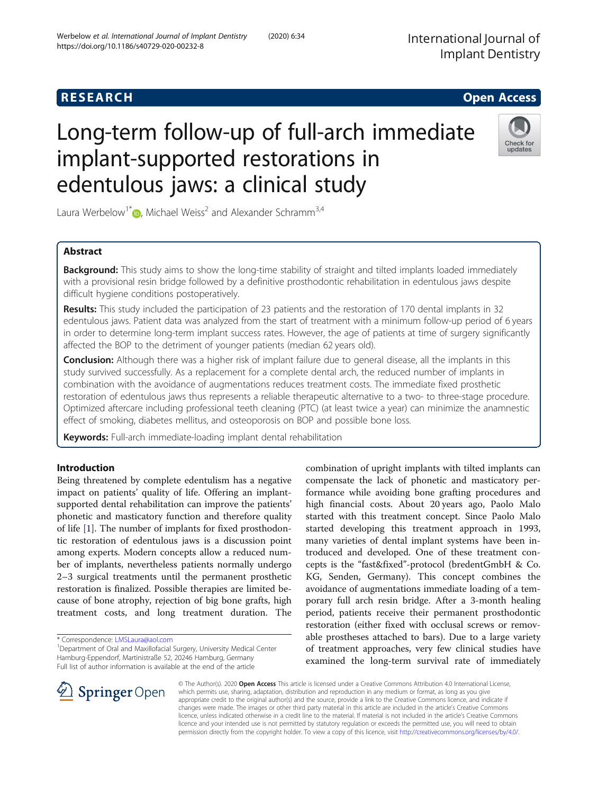# https://doi.org/10.1186/s40729-020-00232-8

edentulous jaws: a clinical study

Laura Werbelow<sup>1\*</sup>  $\bullet$ , Michael Weiss<sup>2</sup> and Alexander Schramm<sup>3,4</sup>

# Abstract

**Background:** This study aims to show the long-time stability of straight and tilted implants loaded immediately with a provisional resin bridge followed by a definitive prosthodontic rehabilitation in edentulous jaws despite difficult hygiene conditions postoperatively.

Results: This study included the participation of 23 patients and the restoration of 170 dental implants in 32 edentulous jaws. Patient data was analyzed from the start of treatment with a minimum follow-up period of 6 years in order to determine long-term implant success rates. However, the age of patients at time of surgery significantly affected the BOP to the detriment of younger patients (median 62 years old).

Conclusion: Although there was a higher risk of implant failure due to general disease, all the implants in this study survived successfully. As a replacement for a complete dental arch, the reduced number of implants in combination with the avoidance of augmentations reduces treatment costs. The immediate fixed prosthetic restoration of edentulous jaws thus represents a reliable therapeutic alternative to a two- to three-stage procedure. Optimized aftercare including professional teeth cleaning (PTC) (at least twice a year) can minimize the anamnestic effect of smoking, diabetes mellitus, and osteoporosis on BOP and possible bone loss.

Keywords: Full-arch immediate-loading implant dental rehabilitation

Being threatened by complete edentulism has a negative impact on patients' quality of life. Offering an implantsupported dental rehabilitation can improve the patients' phonetic and masticatory function and therefore quality of life [\[1\]](#page-6-0). The number of implants for fixed prosthodontic restoration of edentulous jaws is a discussion point among experts. Modern concepts allow a reduced number of implants, nevertheless patients normally undergo 2–3 surgical treatments until the permanent prosthetic restoration is finalized. Possible therapies are limited because of bone atrophy, rejection of big bone grafts, high treatment costs, and long treatment duration. The

\* Correspondence: [LMSLaura@aol.com](mailto:LMSLaura@aol.com) <sup>1</sup>

combination of upright implants with tilted implants can compensate the lack of phonetic and masticatory performance while avoiding bone grafting procedures and high financial costs. About 20 years ago, Paolo Malo started with this treatment concept. Since Paolo Malo started developing this treatment approach in 1993, many varieties of dental implant systems have been introduced and developed. One of these treatment concepts is the "fast&fixed"-protocol (bredentGmbH & Co. KG, Senden, Germany). This concept combines the avoidance of augmentations immediate loading of a temporary full arch resin bridge. After a 3-month healing period, patients receive their permanent prosthodontic restoration (either fixed with occlusal screws or removable prostheses attached to bars). Due to a large variety of treatment approaches, very few clinical studies have examined the long-term survival rate of immediately

© The Author(s). 2020 Open Access This article is licensed under a Creative Commons Attribution 4.0 International License, which permits use, sharing, adaptation, distribution and reproduction in any medium or format, as long as you give appropriate credit to the original author(s) and the source, provide a link to the Creative Commons licence, and indicate if changes were made. The images or other third party material in this article are included in the article's Creative Commons licence, unless indicated otherwise in a credit line to the material. If material is not included in the article's Creative Commons licence and your intended use is not permitted by statutory regulation or exceeds the permitted use, you will need to obtain permission directly from the copyright holder. To view a copy of this licence, visit <http://creativecommons.org/licenses/by/4.0/>.

Check for undates

**RESEARCH CHE Open Access** Long-term follow-up of full-arch immediate implant-supported restorations in

International Journal of









<sup>&</sup>lt;sup>1</sup> Department of Oral and Maxillofacial Surgery, University Medical Center Hamburg-Eppendorf, Martinistraße 52, 20246 Hamburg, Germany Full list of author information is available at the end of the article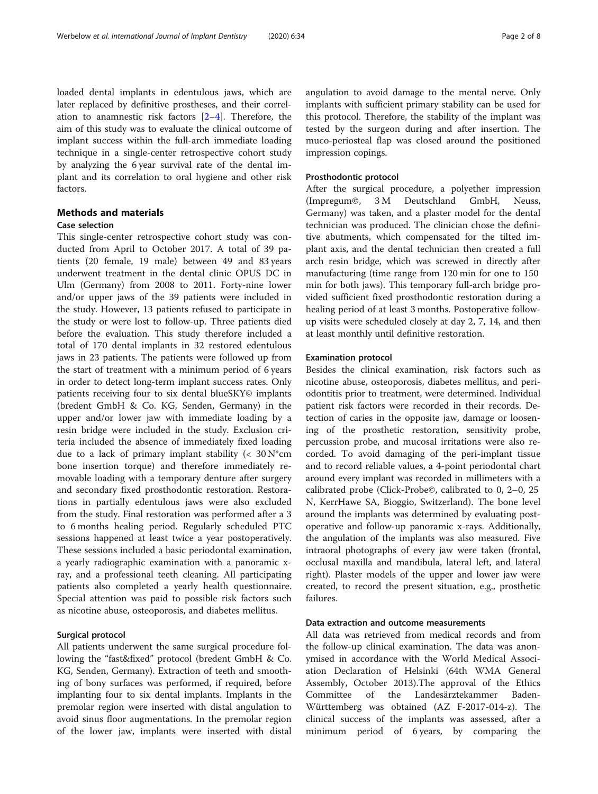loaded dental implants in edentulous jaws, which are later replaced by definitive prostheses, and their correlation to anamnestic risk factors  $[2-4]$  $[2-4]$  $[2-4]$  $[2-4]$  $[2-4]$ . Therefore, the aim of this study was to evaluate the clinical outcome of implant success within the full-arch immediate loading technique in a single-center retrospective cohort study by analyzing the 6 year survival rate of the dental implant and its correlation to oral hygiene and other risk factors.

# Methods and materials

# Case selection

This single-center retrospective cohort study was conducted from April to October 2017. A total of 39 patients (20 female, 19 male) between 49 and 83 years underwent treatment in the dental clinic OPUS DC in Ulm (Germany) from 2008 to 2011. Forty-nine lower and/or upper jaws of the 39 patients were included in the study. However, 13 patients refused to participate in the study or were lost to follow-up. Three patients died before the evaluation. This study therefore included a total of 170 dental implants in 32 restored edentulous jaws in 23 patients. The patients were followed up from the start of treatment with a minimum period of 6 years in order to detect long-term implant success rates. Only patients receiving four to six dental blueSKY© implants (bredent GmbH & Co. KG, Senden, Germany) in the upper and/or lower jaw with immediate loading by a resin bridge were included in the study. Exclusion criteria included the absence of immediately fixed loading due to a lack of primary implant stability ( $< 30$  N\*cm bone insertion torque) and therefore immediately removable loading with a temporary denture after surgery and secondary fixed prosthodontic restoration. Restorations in partially edentulous jaws were also excluded from the study. Final restoration was performed after a 3 to 6 months healing period. Regularly scheduled PTC sessions happened at least twice a year postoperatively. These sessions included a basic periodontal examination, a yearly radiographic examination with a panoramic xray, and a professional teeth cleaning. All participating patients also completed a yearly health questionnaire. Special attention was paid to possible risk factors such as nicotine abuse, osteoporosis, and diabetes mellitus.

## Surgical protocol

All patients underwent the same surgical procedure following the "fast&fixed" protocol (bredent GmbH & Co. KG, Senden, Germany). Extraction of teeth and smoothing of bony surfaces was performed, if required, before implanting four to six dental implants. Implants in the premolar region were inserted with distal angulation to avoid sinus floor augmentations. In the premolar region of the lower jaw, implants were inserted with distal angulation to avoid damage to the mental nerve. Only implants with sufficient primary stability can be used for this protocol. Therefore, the stability of the implant was tested by the surgeon during and after insertion. The muco-periosteal flap was closed around the positioned impression copings.

## Prosthodontic protocol

After the surgical procedure, a polyether impression (Impregum©, 3 M Deutschland GmbH, Neuss, Germany) was taken, and a plaster model for the dental technician was produced. The clinician chose the definitive abutments, which compensated for the tilted implant axis, and the dental technician then created a full arch resin bridge, which was screwed in directly after manufacturing (time range from 120 min for one to 150 min for both jaws). This temporary full-arch bridge provided sufficient fixed prosthodontic restoration during a healing period of at least 3 months. Postoperative followup visits were scheduled closely at day 2, 7, 14, and then at least monthly until definitive restoration.

#### Examination protocol

Besides the clinical examination, risk factors such as nicotine abuse, osteoporosis, diabetes mellitus, and periodontitis prior to treatment, were determined. Individual patient risk factors were recorded in their records. Detection of caries in the opposite jaw, damage or loosening of the prosthetic restoration, sensitivity probe, percussion probe, and mucosal irritations were also recorded. To avoid damaging of the peri-implant tissue and to record reliable values, a 4-point periodontal chart around every implant was recorded in millimeters with a calibrated probe (Click-Probe©, calibrated to 0, 2–0, 25 N, KerrHawe SA, Bioggio, Switzerland). The bone level around the implants was determined by evaluating postoperative and follow-up panoramic x-rays. Additionally, the angulation of the implants was also measured. Five intraoral photographs of every jaw were taken (frontal, occlusal maxilla and mandibula, lateral left, and lateral right). Plaster models of the upper and lower jaw were created, to record the present situation, e.g., prosthetic failures.

# Data extraction and outcome measurements

All data was retrieved from medical records and from the follow-up clinical examination. The data was anonymised in accordance with the World Medical Association Declaration of Helsinki (64th WMA General Assembly, October 2013).The approval of the Ethics Committee of the Landesärztekammer Baden-Württemberg was obtained (AZ F-2017-014-z). The clinical success of the implants was assessed, after a minimum period of 6 years, by comparing the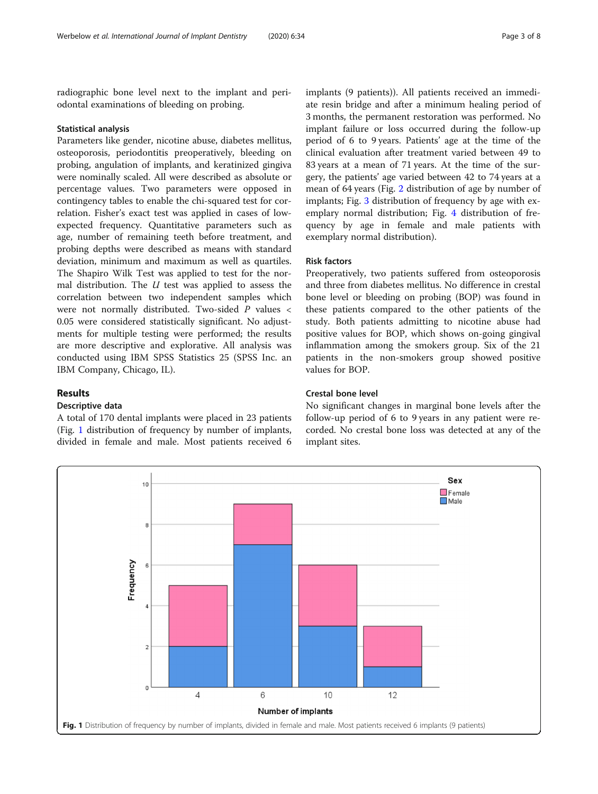radiographic bone level next to the implant and periodontal examinations of bleeding on probing.

#### Statistical analysis

Parameters like gender, nicotine abuse, diabetes mellitus, osteoporosis, periodontitis preoperatively, bleeding on probing, angulation of implants, and keratinized gingiva were nominally scaled. All were described as absolute or percentage values. Two parameters were opposed in contingency tables to enable the chi-squared test for correlation. Fisher's exact test was applied in cases of lowexpected frequency. Quantitative parameters such as age, number of remaining teeth before treatment, and probing depths were described as means with standard deviation, minimum and maximum as well as quartiles. The Shapiro Wilk Test was applied to test for the normal distribution. The  $U$  test was applied to assess the correlation between two independent samples which were not normally distributed. Two-sided P values < 0.05 were considered statistically significant. No adjustments for multiple testing were performed; the results are more descriptive and explorative. All analysis was conducted using IBM SPSS Statistics 25 (SPSS Inc. an IBM Company, Chicago, IL).

# Results

# Descriptive data

A total of 170 dental implants were placed in 23 patients (Fig. 1 distribution of frequency by number of implants, divided in female and male. Most patients received 6

implants (9 patients)). All patients received an immediate resin bridge and after a minimum healing period of 3 months, the permanent restoration was performed. No implant failure or loss occurred during the follow-up period of 6 to 9 years. Patients' age at the time of the clinical evaluation after treatment varied between 49 to 83 years at a mean of 71 years. At the time of the surgery, the patients' age varied between 42 to 74 years at a mean of 64 years (Fig. [2](#page-3-0) distribution of age by number of implants; Fig. [3](#page-3-0) distribution of frequency by age with exemplary normal distribution; Fig. [4](#page-4-0) distribution of frequency by age in female and male patients with exemplary normal distribution).

# Risk factors

Preoperatively, two patients suffered from osteoporosis and three from diabetes mellitus. No difference in crestal bone level or bleeding on probing (BOP) was found in these patients compared to the other patients of the study. Both patients admitting to nicotine abuse had positive values for BOP, which shows on-going gingival inflammation among the smokers group. Six of the 21 patients in the non-smokers group showed positive values for BOP.

## Crestal bone level

No significant changes in marginal bone levels after the follow-up period of 6 to 9 years in any patient were recorded. No crestal bone loss was detected at any of the implant sites.

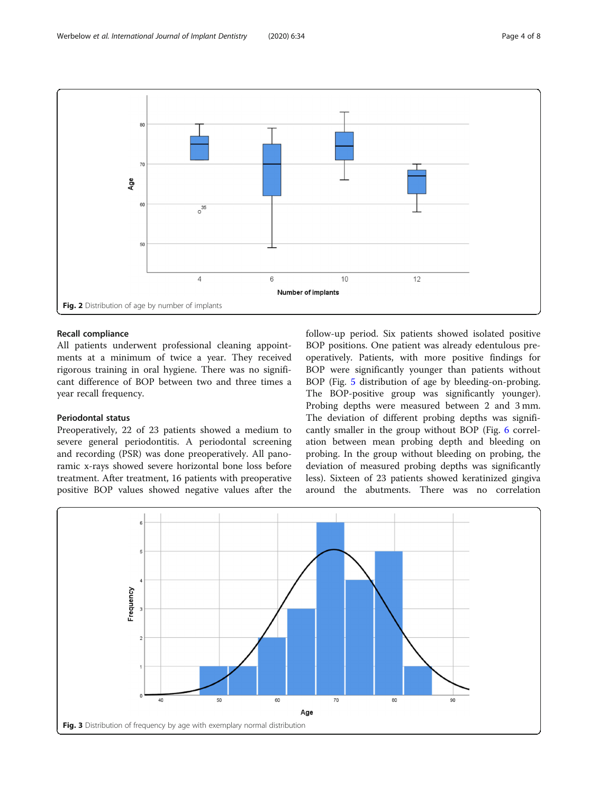<span id="page-3-0"></span>

# Recall compliance

All patients underwent professional cleaning appointments at a minimum of twice a year. They received rigorous training in oral hygiene. There was no significant difference of BOP between two and three times a year recall frequency.

## Periodontal status

Preoperatively, 22 of 23 patients showed a medium to severe general periodontitis. A periodontal screening and recording (PSR) was done preoperatively. All panoramic x-rays showed severe horizontal bone loss before treatment. After treatment, 16 patients with preoperative positive BOP values showed negative values after the follow-up period. Six patients showed isolated positive BOP positions. One patient was already edentulous preoperatively. Patients, with more positive findings for BOP were significantly younger than patients without BOP (Fig. [5](#page-4-0) distribution of age by bleeding-on-probing. The BOP-positive group was significantly younger). Probing depths were measured between 2 and 3 mm. The deviation of different probing depths was significantly smaller in the group without BOP (Fig. [6](#page-5-0) correlation between mean probing depth and bleeding on probing. In the group without bleeding on probing, the deviation of measured probing depths was significantly less). Sixteen of 23 patients showed keratinized gingiva around the abutments. There was no correlation

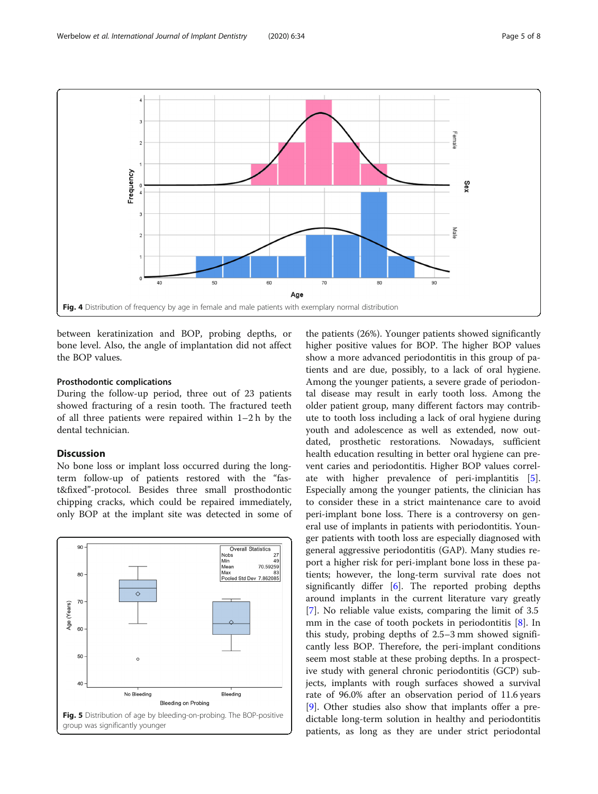<span id="page-4-0"></span>

between keratinization and BOP, probing depths, or bone level. Also, the angle of implantation did not affect the BOP values.

# Prosthodontic complications

During the follow-up period, three out of 23 patients showed fracturing of a resin tooth. The fractured teeth of all three patients were repaired within 1–2 h by the dental technician.

# Discussion

No bone loss or implant loss occurred during the longterm follow-up of patients restored with the "fast&fixed"-protocol. Besides three small prosthodontic chipping cracks, which could be repaired immediately, only BOP at the implant site was detected in some of



the patients (26%). Younger patients showed significantly higher positive values for BOP. The higher BOP values show a more advanced periodontitis in this group of patients and are due, possibly, to a lack of oral hygiene. Among the younger patients, a severe grade of periodontal disease may result in early tooth loss. Among the older patient group, many different factors may contribute to tooth loss including a lack of oral hygiene during youth and adolescence as well as extended, now outdated, prosthetic restorations. Nowadays, sufficient health education resulting in better oral hygiene can prevent caries and periodontitis. Higher BOP values correlate with higher prevalence of peri-implantitis [\[5](#page-6-0)]. Especially among the younger patients, the clinician has to consider these in a strict maintenance care to avoid peri-implant bone loss. There is a controversy on general use of implants in patients with periodontitis. Younger patients with tooth loss are especially diagnosed with general aggressive periodontitis (GAP). Many studies report a higher risk for peri-implant bone loss in these patients; however, the long-term survival rate does not significantly differ  $[6]$  $[6]$ . The reported probing depths around implants in the current literature vary greatly [[7\]](#page-6-0). No reliable value exists, comparing the limit of 3.5 mm in the case of tooth pockets in periodontitis [[8\]](#page-6-0). In this study, probing depths of 2.5–3 mm showed significantly less BOP. Therefore, the peri-implant conditions seem most stable at these probing depths. In a prospective study with general chronic periodontitis (GCP) subjects, implants with rough surfaces showed a survival rate of 96.0% after an observation period of 11.6 years [[9\]](#page-6-0). Other studies also show that implants offer a predictable long-term solution in healthy and periodontitis patients, as long as they are under strict periodontal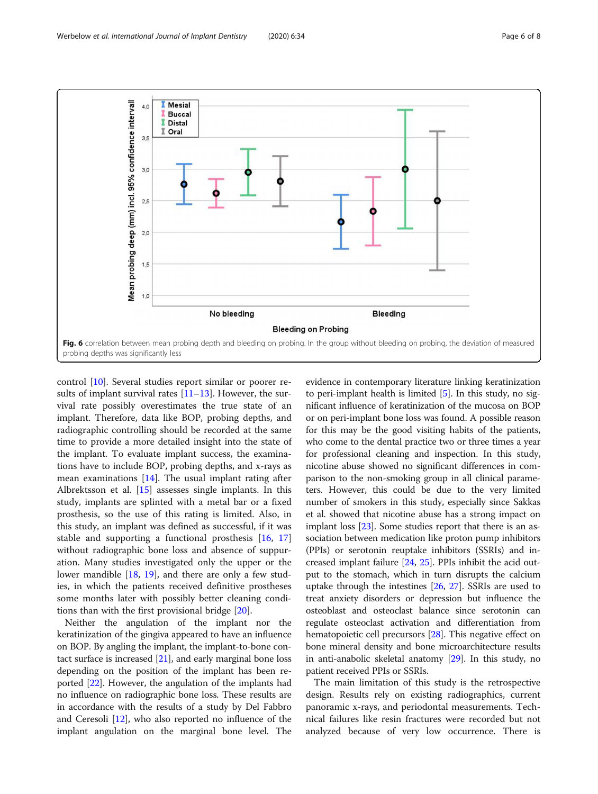<span id="page-5-0"></span>

control [[10\]](#page-6-0). Several studies report similar or poorer results of implant survival rates  $[11–13]$  $[11–13]$  $[11–13]$ . However, the survival rate possibly overestimates the true state of an implant. Therefore, data like BOP, probing depths, and radiographic controlling should be recorded at the same time to provide a more detailed insight into the state of the implant. To evaluate implant success, the examinations have to include BOP, probing depths, and x-rays as mean examinations  $[14]$  $[14]$ . The usual implant rating after Albrektsson et al. [[15\]](#page-7-0) assesses single implants. In this study, implants are splinted with a metal bar or a fixed prosthesis, so the use of this rating is limited. Also, in this study, an implant was defined as successful, if it was stable and supporting a functional prosthesis [\[16](#page-7-0), [17](#page-7-0)] without radiographic bone loss and absence of suppuration. Many studies investigated only the upper or the lower mandible [[18,](#page-7-0) [19](#page-7-0)], and there are only a few studies, in which the patients received definitive prostheses some months later with possibly better cleaning conditions than with the first provisional bridge [\[20\]](#page-7-0).

Neither the angulation of the implant nor the keratinization of the gingiva appeared to have an influence on BOP. By angling the implant, the implant-to-bone contact surface is increased  $[21]$  $[21]$  $[21]$ , and early marginal bone loss depending on the position of the implant has been reported [\[22](#page-7-0)]. However, the angulation of the implants had no influence on radiographic bone loss. These results are in accordance with the results of a study by Del Fabbro and Ceresoli [[12](#page-6-0)], who also reported no influence of the implant angulation on the marginal bone level. The

evidence in contemporary literature linking keratinization to peri-implant health is limited  $[5]$ . In this study, no significant influence of keratinization of the mucosa on BOP or on peri-implant bone loss was found. A possible reason for this may be the good visiting habits of the patients, who come to the dental practice two or three times a year for professional cleaning and inspection. In this study, nicotine abuse showed no significant differences in comparison to the non-smoking group in all clinical parameters. However, this could be due to the very limited number of smokers in this study, especially since Sakkas et al. showed that nicotine abuse has a strong impact on implant loss [\[23\]](#page-7-0). Some studies report that there is an association between medication like proton pump inhibitors (PPIs) or serotonin reuptake inhibitors (SSRIs) and increased implant failure [\[24,](#page-7-0) [25\]](#page-7-0). PPIs inhibit the acid output to the stomach, which in turn disrupts the calcium uptake through the intestines [\[26,](#page-7-0) [27](#page-7-0)]. SSRIs are used to treat anxiety disorders or depression but influence the osteoblast and osteoclast balance since serotonin can regulate osteoclast activation and differentiation from hematopoietic cell precursors [\[28\]](#page-7-0). This negative effect on bone mineral density and bone microarchitecture results in anti-anabolic skeletal anatomy [\[29\]](#page-7-0). In this study, no patient received PPIs or SSRIs.

The main limitation of this study is the retrospective design. Results rely on existing radiographics, current panoramic x-rays, and periodontal measurements. Technical failures like resin fractures were recorded but not analyzed because of very low occurrence. There is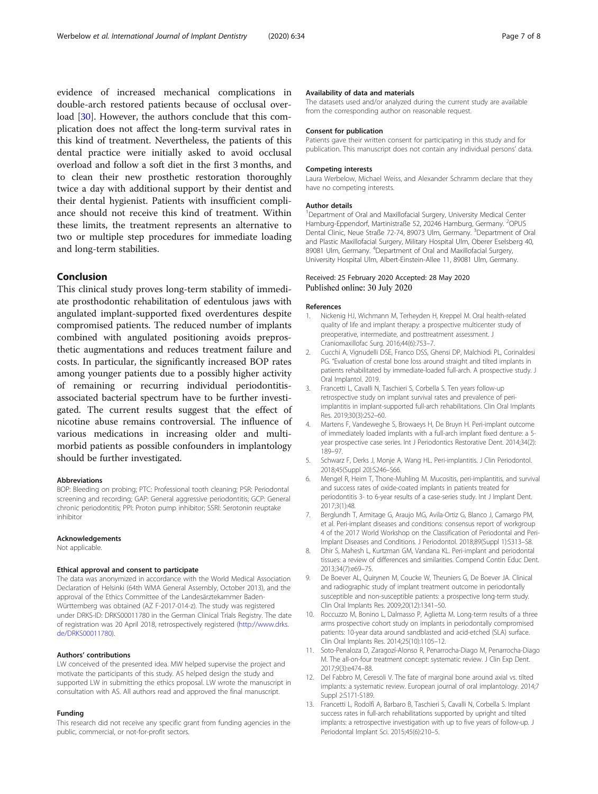<span id="page-6-0"></span>evidence of increased mechanical complications in double-arch restored patients because of occlusal over-load [[30](#page-7-0)]. However, the authors conclude that this complication does not affect the long-term survival rates in this kind of treatment. Nevertheless, the patients of this dental practice were initially asked to avoid occlusal overload and follow a soft diet in the first 3 months, and to clean their new prosthetic restoration thoroughly twice a day with additional support by their dentist and their dental hygienist. Patients with insufficient compliance should not receive this kind of treatment. Within these limits, the treatment represents an alternative to two or multiple step procedures for immediate loading and long-term stabilities.

## Conclusion

This clinical study proves long-term stability of immediate prosthodontic rehabilitation of edentulous jaws with angulated implant-supported fixed overdentures despite compromised patients. The reduced number of implants combined with angulated positioning avoids preprosthetic augmentations and reduces treatment failure and costs. In particular, the significantly increased BOP rates among younger patients due to a possibly higher activity of remaining or recurring individual periodontitisassociated bacterial spectrum have to be further investigated. The current results suggest that the effect of nicotine abuse remains controversial. The influence of various medications in increasing older and multimorbid patients as possible confounders in implantology should be further investigated.

#### Abbreviations

BOP: Bleeding on probing; PTC: Professional tooth cleaning; PSR: Periodontal screening and recording; GAP: General aggressive periodontitis; GCP: General chronic periodontitis; PPI: Proton pump inhibitor; SSRI: Serotonin reuptake inhibitor

#### Acknowledgements

Not applicable.

#### Ethical approval and consent to participate

The data was anonymized in accordance with the World Medical Association Declaration of Helsinki (64th WMA General Assembly, October 2013), and the approval of the Ethics Committee of the Landesärztekammer Baden-Württemberg was obtained (AZ F-2017-014-z). The study was registered under DRKS-ID: DRKS00011780 in the German Clinical Trials Registry. The date of registration was 20 April 2018, retrospectively registered ([http://www.drks.](http://www.drks.de/DRKS00011780) [de/DRKS00011780](http://www.drks.de/DRKS00011780)).

#### Authors' contributions

LW conceived of the presented idea. MW helped supervise the project and motivate the participants of this study. AS helped design the study and supported LW in submitting the ethics proposal. LW wrote the manuscript in consultation with AS. All authors read and approved the final manuscript.

#### Funding

This research did not receive any specific grant from funding agencies in the public, commercial, or not-for-profit sectors.

#### Availability of data and materials

The datasets used and/or analyzed during the current study are available from the corresponding author on reasonable request.

#### Consent for publication

Patients gave their written consent for participating in this study and for publication. This manuscript does not contain any individual persons' data.

#### Competing interests

Laura Werbelow, Michael Weiss, and Alexander Schramm declare that they have no competing interests.

#### Author details

<sup>1</sup>Department of Oral and Maxillofacial Surgery, University Medical Center Hamburg-Eppendorf, Martinistraße 52, 20246 Hamburg, Germany. <sup>2</sup>OPUS Dental Clinic, Neue Straße 72-74, 89073 Ulm, Germany. <sup>3</sup>Department of Oral and Plastic Maxillofacial Surgery, Military Hospital Ulm, Oberer Eselsberg 40, 89081 Ulm, Germany. <sup>4</sup>Department of Oral and Maxillofacial Surgery University Hospital Ulm, Albert-Einstein-Allee 11, 89081 Ulm, Germany.

#### Received: 25 February 2020 Accepted: 28 May 2020 Published online: 30 July 2020

#### References

- 1. Nickenig HJ, Wichmann M, Terheyden H, Kreppel M. Oral health-related quality of life and implant therapy: a prospective multicenter study of preoperative, intermediate, and posttreatment assessment. J Craniomaxillofac Surg. 2016;44(6):753–7.
- 2. Cucchi A, Vignudelli DSE, Franco DSS, Ghensi DP, Malchiodi PL, Corinaldesi PG. "Evaluation of crestal bone loss around straight and tilted implants in patients rehabilitated by immediate-loaded full-arch. A prospective study. J Oral Implantol. 2019.
- 3. Francetti L, Cavalli N, Taschieri S, Corbella S. Ten years follow-up retrospective study on implant survival rates and prevalence of periimplantitis in implant-supported full-arch rehabilitations. Clin Oral Implants Res. 2019;30(3):252–60.
- 4. Martens F, Vandeweghe S, Browaeys H, De Bruyn H. Peri-implant outcome of immediately loaded implants with a full-arch implant fixed denture: a 5 year prospective case series. Int J Periodontics Restorative Dent. 2014;34(2): 189–97.
- 5. Schwarz F, Derks J, Monje A, Wang HL. Peri-implantitis. J Clin Periodontol. 2018;45(Suppl 20):S246–S66.
- 6. Mengel R, Heim T, Thone-Muhling M. Mucositis, peri-implantitis, and survival and success rates of oxide-coated implants in patients treated for periodontitis 3- to 6-year results of a case-series study. Int J Implant Dent. 2017;3(1):48.
- 7. Berglundh T, Armitage G, Araujo MG, Avila-Ortiz G, Blanco J, Camargo PM, et al. Peri-implant diseases and conditions: consensus report of workgroup 4 of the 2017 World Workshop on the Classification of Periodontal and Peri-Implant Diseases and Conditions. J Periodontol. 2018;89(Suppl 1):S313–S8.
- 8. Dhir S, Mahesh L, Kurtzman GM, Vandana KL. Peri-implant and periodontal tissues: a review of differences and similarities. Compend Contin Educ Dent. 2013;34(7):e69–75.
- 9. De Boever AL, Quirynen M, Coucke W, Theuniers G, De Boever JA. Clinical and radiographic study of implant treatment outcome in periodontally susceptible and non-susceptible patients: a prospective long-term study. Clin Oral Implants Res. 2009;20(12):1341–50.
- 10. Roccuzzo M, Bonino L, Dalmasso P, Aglietta M. Long-term results of a three arms prospective cohort study on implants in periodontally compromised patients: 10-year data around sandblasted and acid-etched (SLA) surface. Clin Oral Implants Res. 2014;25(10):1105–12.
- 11. Soto-Penaloza D, Zaragozí-Alonso R, Penarrocha-Diago M, Penarrocha-Diago M. The all-on-four treatment concept: systematic review. J Clin Exp Dent. 2017;9(3):e474–88.
- 12. Del Fabbro M, Ceresoli V. The fate of marginal bone around axial vs. tilted implants: a systematic review. European journal of oral implantology. 2014;7 Suppl 2:S171-S189.
- 13. Francetti L, Rodolfi A, Barbaro B, Taschieri S, Cavalli N, Corbella S. Implant success rates in full-arch rehabilitations supported by upright and tilted implants: a retrospective investigation with up to five years of follow-up. J Periodontal Implant Sci. 2015;45(6):210–5.